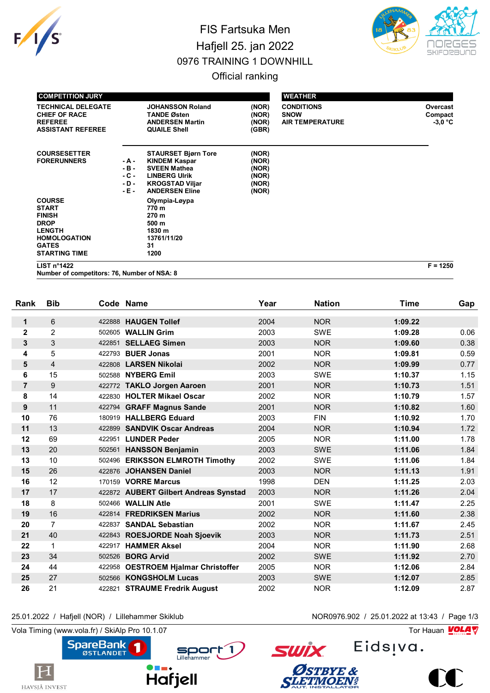

## FIS Fartsuka Men Hafjell 25. jan 2022 0976 TRAINING 1 DOWNHILL



Official ranking

| <b>COMPETITION JURY</b>                                                                                                                       |                                               |                                                                                                                                                      |                                                    | <b>WEATHER</b>                                             |                                  |
|-----------------------------------------------------------------------------------------------------------------------------------------------|-----------------------------------------------|------------------------------------------------------------------------------------------------------------------------------------------------------|----------------------------------------------------|------------------------------------------------------------|----------------------------------|
| <b>TECHNICAL DELEGATE</b><br><b>CHIEF OF RACE</b><br><b>REFEREE</b><br><b>ASSISTANT REFEREE</b>                                               |                                               | <b>JOHANSSON Roland</b><br><b>TANDE Østen</b><br><b>ANDERSEN Martin</b><br><b>QUAILE Shell</b>                                                       | (NOR)<br>(NOR)<br>(NOR)<br>(GBR)                   | <b>CONDITIONS</b><br><b>SNOW</b><br><b>AIR TEMPERATURE</b> | Overcast<br>Compact<br>$-3.0 °C$ |
| <b>COURSESETTER</b><br><b>FORERUNNERS</b>                                                                                                     | - A -<br>$-B -$<br>$-C -$<br>$-D -$<br>$-E -$ | <b>STAURSET Bjørn Tore</b><br><b>KINDEM Kaspar</b><br><b>SVEEN Mathea</b><br><b>LINBERG Ulrik</b><br><b>KROGSTAD Viljar</b><br><b>ANDERSEN Eline</b> | (NOR)<br>(NOR)<br>(NOR)<br>(NOR)<br>(NOR)<br>(NOR) |                                                            |                                  |
| <b>COURSE</b><br><b>START</b><br><b>FINISH</b><br><b>DROP</b><br><b>LENGTH</b><br><b>HOMOLOGATION</b><br><b>GATES</b><br><b>STARTING TIME</b> |                                               | Olympia-Løypa<br>770 m<br>270 m<br>500 m<br>1830 m<br>13761/11/20<br>31<br>1200                                                                      |                                                    |                                                            |                                  |
| LIST $n^{\circ}$ 1422                                                                                                                         |                                               |                                                                                                                                                      |                                                    |                                                            | $F = 1250$                       |

**Number of competitors: 76, Number of NSA: 8**

| Rank           | <b>Bib</b>     |        | Code Name                             | Year | <b>Nation</b> | Time    | Gap  |
|----------------|----------------|--------|---------------------------------------|------|---------------|---------|------|
| 1              | 6              | 422888 | <b>HAUGEN Tollef</b>                  | 2004 | <b>NOR</b>    | 1:09.22 |      |
| $\mathbf{2}$   | $\overline{2}$ | 502605 | <b>WALLIN Grim</b>                    | 2003 | <b>SWE</b>    | 1:09.28 | 0.06 |
| 3              | 3              | 422851 | <b>SELLAEG Simen</b>                  | 2003 | <b>NOR</b>    | 1:09.60 | 0.38 |
| 4              | 5              |        | 422793 <b>BUER Jonas</b>              | 2001 | <b>NOR</b>    | 1:09.81 | 0.59 |
| 5              | $\overline{4}$ | 422808 | <b>LARSEN Nikolai</b>                 | 2002 | <b>NOR</b>    | 1:09.99 | 0.77 |
| 6              | 15             | 502588 | <b>NYBERG Emil</b>                    | 2003 | <b>SWE</b>    | 1:10.37 | 1.15 |
| $\overline{7}$ | 9              |        | 422772 TAKLO Jorgen Aaroen            | 2001 | <b>NOR</b>    | 1:10.73 | 1.51 |
| 8              | 14             |        | 422830 HOLTER Mikael Oscar            | 2002 | <b>NOR</b>    | 1:10.79 | 1.57 |
| 9              | 11             |        | 422794 GRAFF Magnus Sande             | 2001 | <b>NOR</b>    | 1:10.82 | 1.60 |
| 10             | 76             |        | 180919 HALLBERG Eduard                | 2003 | <b>FIN</b>    | 1:10.92 | 1.70 |
| 11             | 13             | 422899 | <b>SANDVIK Oscar Andreas</b>          | 2004 | <b>NOR</b>    | 1:10.94 | 1.72 |
| 12             | 69             |        | 422951 LUNDER Peder                   | 2005 | <b>NOR</b>    | 1:11.00 | 1.78 |
| 13             | 20             |        | 502561 HANSSON Benjamin               | 2003 | <b>SWE</b>    | 1:11.06 | 1.84 |
| 13             | 10             |        | 502496 ERIKSSON ELMROTH Timothy       | 2002 | <b>SWE</b>    | 1:11.06 | 1.84 |
| 15             | 26             | 422876 | <b>JOHANSEN Daniel</b>                | 2003 | <b>NOR</b>    | 1:11.13 | 1.91 |
| 16             | 12             |        | 170159 VORRE Marcus                   | 1998 | <b>DEN</b>    | 1:11.25 | 2.03 |
| 17             | 17             |        | 422872 AUBERT Gilbert Andreas Synstad | 2003 | <b>NOR</b>    | 1:11.26 | 2.04 |
| 18             | 8              |        | 502466 WALLIN Atle                    | 2001 | <b>SWE</b>    | 1:11.47 | 2.25 |
| 19             | 16             | 422814 | <b>FREDRIKSEN Marius</b>              | 2002 | <b>NOR</b>    | 1:11.60 | 2.38 |
| 20             | $\overline{7}$ | 422837 | <b>SANDAL Sebastian</b>               | 2002 | <b>NOR</b>    | 1:11.67 | 2.45 |
| 21             | 40             |        | 422843 ROESJORDE Noah Sjoevik         | 2003 | <b>NOR</b>    | 1:11.73 | 2.51 |
| 22             | $\mathbf 1$    | 422917 | <b>HAMMER Aksel</b>                   | 2004 | <b>NOR</b>    | 1:11.90 | 2.68 |
| 23             | 34             | 502526 | <b>BORG Arvid</b>                     | 2002 | <b>SWE</b>    | 1:11.92 | 2.70 |
| 24             | 44             | 422958 | <b>OESTROEM Hjalmar Christoffer</b>   | 2005 | <b>NOR</b>    | 1:12.06 | 2.84 |
| 25             | 27             | 502566 | <b>KONGSHOLM Lucas</b>                | 2003 | <b>SWE</b>    | 1:12.07 | 2.85 |
| 26             | 21             | 422821 | <b>STRAUME Fredrik August</b>         | 2002 | <b>NOR</b>    | 1:12.09 | 2.87 |

25.01.2022 / Hafjell (NOR) / Lillehammer Skiklub NOR0976.902 / 25.01.2022 at 13:43 / Page 1/3

Vola Timing (www.vola.fr) / SkiAlp Pro 10.1.07  $\sqrt{2}$ 

1







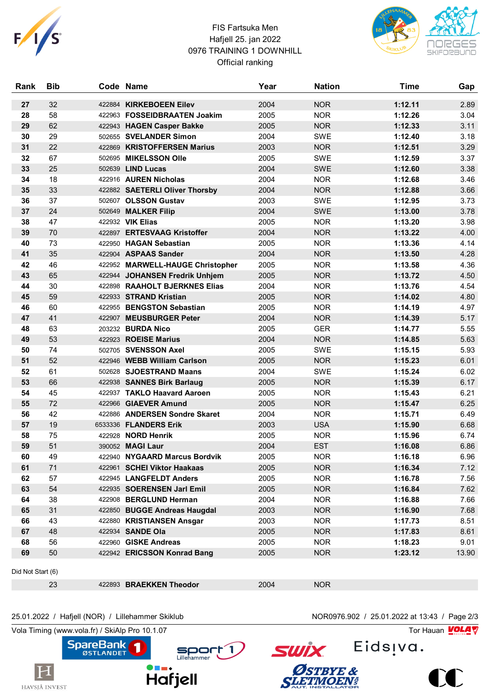

## FIS Fartsuka Men Hafjell 25. jan 2022 0976 TRAINING 1 DOWNHILL Official ranking



| Rank              | <b>Bib</b> |        | Code Name                        | Year | <b>Nation</b> | <b>Time</b> | Gap   |  |
|-------------------|------------|--------|----------------------------------|------|---------------|-------------|-------|--|
| 27                | 32         | 422884 | <b>KIRKEBOEEN Eilev</b>          | 2004 | <b>NOR</b>    | 1:12.11     | 2.89  |  |
| 28                | 58         |        | 422963 FOSSEIDBRAATEN Joakim     | 2005 | <b>NOR</b>    | 1:12.26     | 3.04  |  |
| 29                | 62         |        | 422943 HAGEN Casper Bakke        | 2005 | <b>NOR</b>    | 1:12.33     | 3.11  |  |
| 30                | 29         |        | 502655 SVELANDER Simon           | 2004 | <b>SWE</b>    | 1:12.40     | 3.18  |  |
| 31                | 22         |        | 422869 KRISTOFFERSEN Marius      | 2003 | <b>NOR</b>    | 1:12.51     | 3.29  |  |
| 32                | 67         |        | 502695 MIKELSSON Olle            | 2005 | <b>SWE</b>    | 1:12.59     | 3.37  |  |
| 33                | 25         |        | 502639 LIND Lucas                | 2004 | <b>SWE</b>    | 1:12.60     | 3.38  |  |
| 34                | 18         |        | 422916 AUREN Nicholas            | 2004 | <b>NOR</b>    | 1:12.68     | 3.46  |  |
| 35                | 33         |        | 422882 SAETERLI Oliver Thorsby   | 2004 | <b>NOR</b>    | 1:12.88     | 3.66  |  |
| 36                | 37         |        | 502607 OLSSON Gustav             | 2003 | <b>SWE</b>    | 1:12.95     | 3.73  |  |
| 37                | 24         |        | 502649 MALKER Filip              | 2004 | <b>SWE</b>    | 1:13.00     | 3.78  |  |
| 38                | 47         |        | 422932 VIK Elias                 | 2005 | <b>NOR</b>    | 1:13.20     | 3.98  |  |
| 39                | 70         |        | 422897 ERTESVAAG Kristoffer      | 2004 | <b>NOR</b>    | 1:13.22     | 4.00  |  |
| 40                | 73         |        | 422950 HAGAN Sebastian           | 2005 | <b>NOR</b>    | 1:13.36     | 4.14  |  |
| 41                | 35         |        | 422904 ASPAAS Sander             | 2004 | <b>NOR</b>    | 1:13.50     | 4.28  |  |
| 42                | 46         |        | 422952 MARWELL-HAUGE Christopher | 2005 | <b>NOR</b>    | 1:13.58     | 4.36  |  |
| 43                | 65         |        | 422944 JOHANSEN Fredrik Unhjem   | 2005 | <b>NOR</b>    | 1:13.72     | 4.50  |  |
| 44                | 30         |        | 422898 RAAHOLT BJERKNES Elias    | 2004 | <b>NOR</b>    | 1:13.76     | 4.54  |  |
| 45                | 59         |        | 422933 STRAND Kristian           | 2005 | <b>NOR</b>    | 1:14.02     | 4.80  |  |
| 46                | 60         |        | 422955 BENGSTON Sebastian        | 2005 | <b>NOR</b>    | 1:14.19     | 4.97  |  |
| 47                | 41         |        | 422907 MEUSBURGER Peter          | 2004 | <b>NOR</b>    | 1:14.39     | 5.17  |  |
| 48                | 63         |        | 203232 BURDA Nico                | 2005 | <b>GER</b>    | 1:14.77     | 5.55  |  |
| 49                | 53         |        | 422923 ROEISE Marius             | 2004 | <b>NOR</b>    | 1:14.85     | 5.63  |  |
| 50                | 74         |        | 502705 SVENSSON Axel             | 2005 | <b>SWE</b>    | 1:15.15     | 5.93  |  |
| 51                | 52         |        | 422946 WEBB William Carlson      | 2005 | <b>NOR</b>    | 1:15.23     | 6.01  |  |
| 52                | 61         |        | 502628 SJOESTRAND Maans          | 2004 | <b>SWE</b>    | 1:15.24     | 6.02  |  |
| 53                | 66         |        | 422938 SANNES Birk Barlaug       | 2005 | <b>NOR</b>    | 1:15.39     | 6.17  |  |
| 54                | 45         |        | 422937 TAKLO Haavard Aaroen      | 2005 | <b>NOR</b>    | 1:15.43     | 6.21  |  |
| 55                | 72         |        | 422966 GIAEVER Amund             | 2005 | <b>NOR</b>    | 1:15.47     | 6.25  |  |
| 56                | 42         |        | 422886 ANDERSEN Sondre Skaret    | 2004 | <b>NOR</b>    | 1:15.71     | 6.49  |  |
| 57                | 19         |        | 6533336 FLANDERS Erik            | 2003 | <b>USA</b>    | 1:15.90     | 6.68  |  |
| 58                | 75         |        | 422928 NORD Henrik               | 2005 | <b>NOR</b>    | 1:15.96     | 6.74  |  |
| 59                | 51         |        | 390052 MAGI Laur                 | 2004 | <b>EST</b>    | 1:16.08     | 6.86  |  |
| 60                | 49         |        | 422940 NYGAARD Marcus Bordvik    | 2005 | <b>NOR</b>    | 1:16.18     | 6.96  |  |
| 61                | 71         |        | 422961 SCHEI Viktor Haakaas      | 2005 | <b>NOR</b>    | 1:16.34     | 7.12  |  |
| 62                | 57         |        | 422945 LANGFELDT Anders          | 2005 | <b>NOR</b>    | 1:16.78     | 7.56  |  |
| 63                | 54         |        | 422935 SOERENSEN Jarl Emil       | 2005 | <b>NOR</b>    | 1:16.84     | 7.62  |  |
| 64                | 38         |        | 422908 BERGLUND Herman           | 2004 | <b>NOR</b>    | 1:16.88     | 7.66  |  |
| 65                | 31         |        | 422850 BUGGE Andreas Haugdal     | 2003 | <b>NOR</b>    | 1:16.90     | 7.68  |  |
| 66                | 43         |        | 422880 KRISTIANSEN Ansgar        | 2003 | <b>NOR</b>    | 1:17.73     | 8.51  |  |
| 67                | 48         |        | 422934 SANDE Ola                 | 2005 | <b>NOR</b>    | 1:17.83     | 8.61  |  |
| 68                | 56         |        | 422960 GISKE Andreas             | 2005 | <b>NOR</b>    | 1:18.23     | 9.01  |  |
| 69                | 50         |        | 422942 ERICSSON Konrad Bang      | 2005 | <b>NOR</b>    | 1:23.12     | 13.90 |  |
| Did Not Start (6) |            |        |                                  |      |               |             |       |  |
|                   | 23         |        | 422893 BRAEKKEN Theodor          | 2004 | <b>NOR</b>    |             |       |  |

## 25.01.2022 / Hafjell (NOR) / Lillehammer Skiklub NOR0976.902 / 25.01.2022 at 13:43 / Page 2/3

Vola Timing (www.vola.fr) / SkiAlp Pro 10.1.07 Tor Hauan Motor Science of Tor Hauan Motor Science of Tor Hauan

Sport 1



Eids<sub>!va</sub>.

**SWİX** 

ØSTBYE &<br>SLETMOEN#



 $\sum$